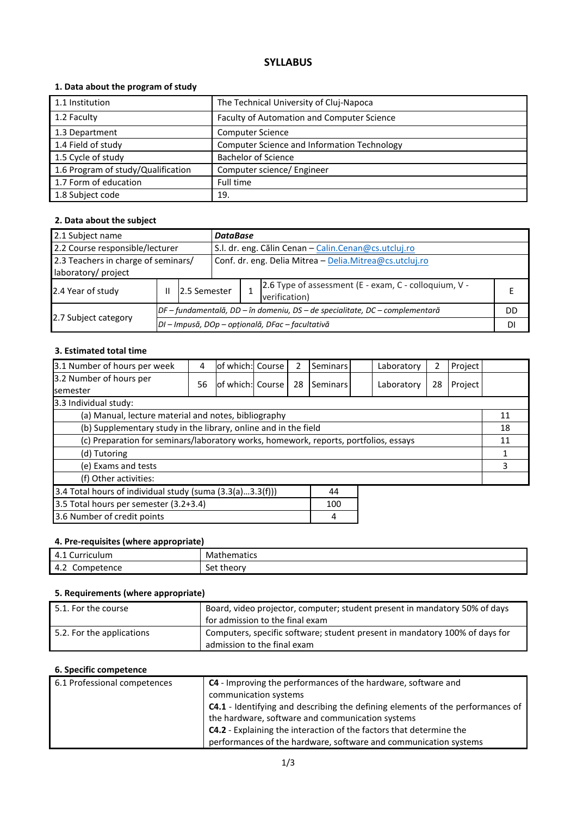# **SYLLABUS**

# **1. Data about the program of study**

| 1.1 Institution                    | The Technical University of Cluj-Napoca     |
|------------------------------------|---------------------------------------------|
| 1.2 Faculty                        | Faculty of Automation and Computer Science  |
| 1.3 Department                     | <b>Computer Science</b>                     |
| 1.4 Field of study                 | Computer Science and Information Technology |
| 1.5 Cycle of study                 | <b>Bachelor of Science</b>                  |
| 1.6 Program of study/Qualification | Computer science/ Engineer                  |
| 1.7 Form of education              | Full time                                   |
| 1.8 Subject code                   | 19.                                         |

# **2. Data about the subject**

| 2.1 Subject name<br><b>DataBase</b>                        |                                                                                         |                                                                              |                                                         |  |                                                                        |    |
|------------------------------------------------------------|-----------------------------------------------------------------------------------------|------------------------------------------------------------------------------|---------------------------------------------------------|--|------------------------------------------------------------------------|----|
|                                                            | 2.2 Course responsible/lecturer<br>S.I. dr. eng. Călin Cenan - Calin.Cenan@cs.utcluj.ro |                                                                              |                                                         |  |                                                                        |    |
| 2.3 Teachers in charge of seminars/<br>laboratory/ project |                                                                                         |                                                                              | Conf. dr. eng. Delia Mitrea - Delia.Mitrea@cs.utcluj.ro |  |                                                                        |    |
| 2.4 Year of study                                          | Ш                                                                                       | 12.5 Semester                                                                |                                                         |  | 2.6 Type of assessment (E - exam, C - colloquium, V -<br>verification) |    |
|                                                            |                                                                                         | DF – fundamentală, DD – în domeniu, DS – de specialitate, DC – complementară |                                                         |  |                                                                        | DD |
| 2.7 Subject category                                       |                                                                                         | DI - Impusă, DOp - opțională, DFac - facultativă                             |                                                         |  |                                                                        |    |

### **3. Estimated total time**

| 3.1 Number of hours per week                                                         | 4  | of which: Course |  | 2  | Seminars |  | Laboratory | 2  | Project |  |
|--------------------------------------------------------------------------------------|----|------------------|--|----|----------|--|------------|----|---------|--|
| 3.2 Number of hours per<br><b>semester</b>                                           | 56 | of which: Course |  | 28 | Seminars |  | Laboratory | 28 | Project |  |
| 3.3 Individual study:                                                                |    |                  |  |    |          |  |            |    |         |  |
| (a) Manual, lecture material and notes, bibliography                                 |    |                  |  |    |          |  | 11         |    |         |  |
| (b) Supplementary study in the library, online and in the field                      |    |                  |  |    |          |  |            | 18 |         |  |
| (c) Preparation for seminars/laboratory works, homework, reports, portfolios, essays |    |                  |  |    |          |  |            | 11 |         |  |
| (d) Tutoring                                                                         |    |                  |  |    |          |  |            |    |         |  |
| (e) Exams and tests                                                                  |    |                  |  |    |          |  |            | 3  |         |  |
| (f) Other activities:                                                                |    |                  |  |    |          |  |            |    |         |  |
| 3.4 Total hours of individual study (suma (3.3(a)3.3(f)))<br>44                      |    |                  |  |    |          |  |            |    |         |  |
| 3.5 Total hours per semester (3.2+3.4)                                               |    |                  |  |    | 100      |  |            |    |         |  |
| 3.6 Number of credit points<br>4                                                     |    |                  |  |    |          |  |            |    |         |  |

#### **4. Pre-requisites (where appropriate)**

| 4.1<br>urriculum<br>∵ Curriculum i | $\sim$ $\sim$ $\sim$<br>Mathematics |
|------------------------------------|-------------------------------------|
| $\sqrt{ }$                         | 100r                                |
| Competence                         | set                                 |
| 4.Z                                |                                     |

# **5. Requirements (where appropriate)**

| 5.1. For the course       | Board, video projector, computer; student present in mandatory 50% of days<br>for admission to the final exam |
|---------------------------|---------------------------------------------------------------------------------------------------------------|
| 5.2. For the applications | Computers, specific software; student present in mandatory 100% of days for<br>admission to the final exam    |

#### **6. Specific competence**

| 6.1 Professional competences | <b>C4</b> - Improving the performances of the hardware, software and<br>communication systems |
|------------------------------|-----------------------------------------------------------------------------------------------|
|                              | C4.1 - Identifying and describing the defining elements of the performances of                |
|                              | the hardware, software and communication systems                                              |
|                              | <b>C4.2</b> - Explaining the interaction of the factors that determine the                    |
|                              | performances of the hardware, software and communication systems                              |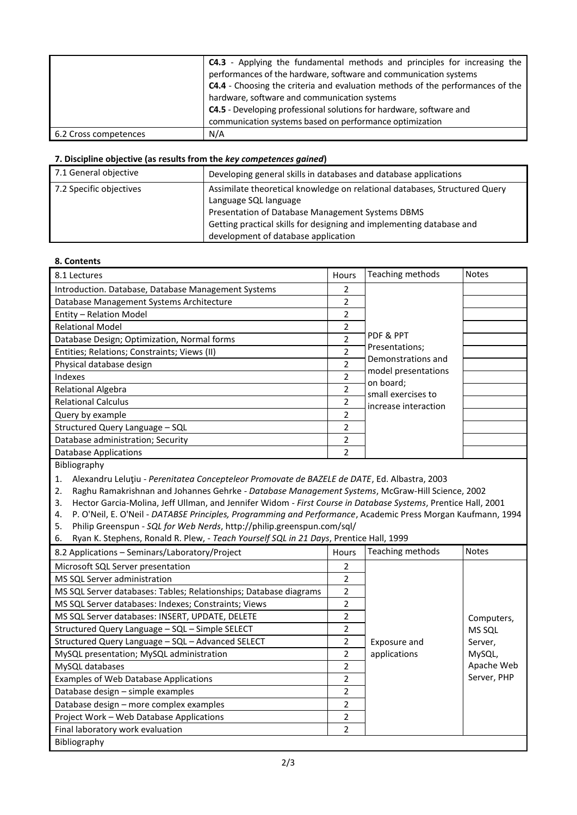|                       | <b>C4.3</b> - Applying the fundamental methods and principles for increasing the<br>performances of the hardware, software and communication systems<br>C4.4 - Choosing the criteria and evaluation methods of the performances of the |
|-----------------------|----------------------------------------------------------------------------------------------------------------------------------------------------------------------------------------------------------------------------------------|
|                       | hardware, software and communication systems<br><b>C4.5</b> - Developing professional solutions for hardware, software and<br>communication systems based on performance optimization                                                  |
| 6.2 Cross competences | N/A                                                                                                                                                                                                                                    |

#### **7. Discipline objective (as results from the** *key competences gained***)**

| 7.1 General objective   | Developing general skills in databases and database applications                                                                                                                                                                                                       |
|-------------------------|------------------------------------------------------------------------------------------------------------------------------------------------------------------------------------------------------------------------------------------------------------------------|
| 7.2 Specific objectives | Assimilate theoretical knowledge on relational databases, Structured Query<br>Language SQL language<br>Presentation of Database Management Systems DBMS<br>Getting practical skills for designing and implementing database and<br>development of database application |

#### **8. Contents**

| 8.1 Lectures                                        | Hours                    | Teaching methods                          | <b>Notes</b> |
|-----------------------------------------------------|--------------------------|-------------------------------------------|--------------|
| Introduction. Database, Database Management Systems | 2                        |                                           |              |
| Database Management Systems Architecture            | 2                        |                                           |              |
| Entity - Relation Model                             | 2                        |                                           |              |
| <b>Relational Model</b>                             | $\overline{\phantom{a}}$ |                                           |              |
| Database Design; Optimization, Normal forms         | $\overline{\phantom{a}}$ | PDF & PPT                                 |              |
| Entities; Relations; Constraints; Views (II)        | $\mathcal{P}$            | Presentations;                            |              |
| Physical database design                            | 2                        | Demonstrations and<br>model presentations |              |
| Indexes                                             | 2                        | on board;                                 |              |
| <b>Relational Algebra</b>                           | 2                        | small exercises to                        |              |
| <b>Relational Calculus</b>                          | 2                        | increase interaction                      |              |
| Query by example                                    | 2                        |                                           |              |
| Structured Query Language - SQL                     | 2                        |                                           |              |
| Database administration; Security                   | 2                        |                                           |              |
| Database Applications                               | 2                        |                                           |              |

Bibliography

1. Alexandru Leluţiu - *Perenitatea Concepteleor Promovate de BAZELE de DATE*, Ed. Albastra, 2003

2. Raghu Ramakrishnan and Johannes Gehrke - *Database Management Systems*, McGraw-Hill Science, 2002

3. Hector Garcia-Molina, Jeff Ullman, and Jennifer Widom - *First Course in Database Systems*, Prentice Hall, 2001

4. P. O'Neil, E. O'Neil - *DATABSE Principles, Programming and Performance*, Academic Press Morgan Kaufmann, 1994

5. Philip Greenspun - *SQL for Web Nerds*, http://philip.greenspun.com/sql/

6. Ryan K. Stephens, Ronald R. Plew, - *Teach Yourself SQL in 21 Days*, Prentice Hall, 1999

| 8.2 Applications - Seminars/Laboratory/Project                    | <b>Hours</b>  | Teaching methods | <b>Notes</b>  |  |
|-------------------------------------------------------------------|---------------|------------------|---------------|--|
| Microsoft SQL Server presentation                                 | $\mathcal{P}$ |                  |               |  |
| MS SQL Server administration                                      | 2             |                  |               |  |
| MS SQL Server databases: Tables; Relationships; Database diagrams | 2             |                  |               |  |
| MS SQL Server databases: Indexes; Constraints; Views              | 2             |                  |               |  |
| MS SQL Server databases: INSERT, UPDATE, DELETE                   |               |                  | Computers,    |  |
| Structured Query Language - SQL - Simple SELECT                   | 2             |                  | <b>MS SQL</b> |  |
| Structured Query Language - SQL - Advanced SELECT                 | 2             | Exposure and     | Server,       |  |
| MySQL presentation; MySQL administration                          | $\mathcal{P}$ | applications     | MySQL,        |  |
| MySQL databases                                                   | 2             |                  | Apache Web    |  |
| Examples of Web Database Applications                             | $\mathcal{P}$ |                  | Server, PHP   |  |
| Database design – simple examples                                 | 2             |                  |               |  |
| Database design - more complex examples                           | $\mathcal{P}$ |                  |               |  |
| Project Work - Web Database Applications                          | 2             |                  |               |  |
| Final laboratory work evaluation                                  | 2             |                  |               |  |
| Bibliography                                                      |               |                  |               |  |